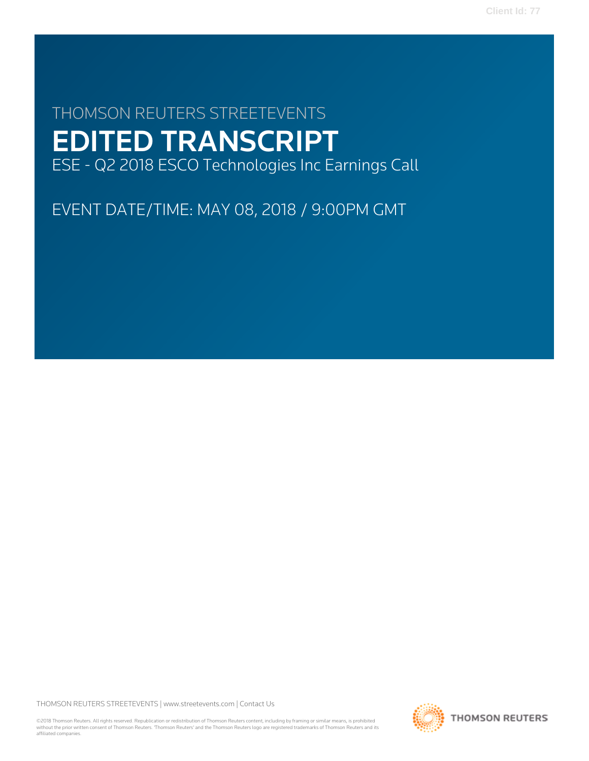# THOMSON REUTERS STREETEVENTS EDITED TRANSCRIPT ESE - Q2 2018 ESCO Technologies Inc Earnings Call

EVENT DATE/TIME: MAY 08, 2018 / 9:00PM GMT

THOMSON REUTERS STREETEVENTS | [www.streetevents.com](http://www.streetevents.com) | [Contact Us](http://www010.streetevents.com/contact.asp)

©2018 Thomson Reuters. All rights reserved. Republication or redistribution of Thomson Reuters content, including by framing or similar means, is prohibited without the prior written consent of Thomson Reuters. 'Thomson Reuters' and the Thomson Reuters logo are registered trademarks of Thomson Reuters and its affiliated companies.

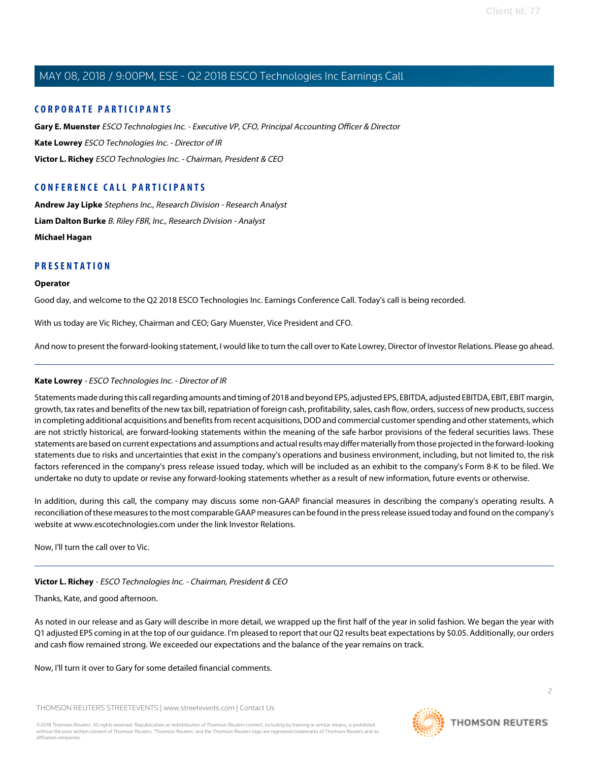### **CORPORATE PARTICIPANTS**

**[Gary E. Muenster](#page-2-0)** ESCO Technologies Inc. - Executive VP, CFO, Principal Accounting Officer & Director **[Kate Lowrey](#page-1-0)** ESCO Technologies Inc. - Director of IR **[Victor L. Richey](#page-1-1)** ESCO Technologies Inc. - Chairman, President & CEO

## **CONFERENCE CALL PARTICIPANTS**

**[Andrew Jay Lipke](#page-4-0)** Stephens Inc., Research Division - Research Analyst **[Liam Dalton Burke](#page-6-0)** B. Riley FBR, Inc., Research Division - Analyst **[Michael Hagan](#page-5-0)**

#### **PRESENTATION**

#### **Operator**

Good day, and welcome to the Q2 2018 ESCO Technologies Inc. Earnings Conference Call. Today's call is being recorded.

With us today are Vic Richey, Chairman and CEO; Gary Muenster, Vice President and CFO.

<span id="page-1-0"></span>And now to present the forward-looking statement, I would like to turn the call over to Kate Lowrey, Director of Investor Relations. Please go ahead.

#### **Kate Lowrey** - ESCO Technologies Inc. - Director of IR

Statements made during this call regarding amounts and timing of 2018 and beyond EPS, adjusted EPS, EBITDA, adjusted EBITDA, EBIT, EBIT margin, growth, tax rates and benefits of the new tax bill, repatriation of foreign cash, profitability, sales, cash flow, orders, success of new products, success in completing additional acquisitions and benefits from recent acquisitions, DOD and commercial customer spending and other statements, which are not strictly historical, are forward-looking statements within the meaning of the safe harbor provisions of the federal securities laws. These statements are based on current expectations and assumptions and actual results may differ materially from those projected in the forward-looking statements due to risks and uncertainties that exist in the company's operations and business environment, including, but not limited to, the risk factors referenced in the company's press release issued today, which will be included as an exhibit to the company's Form 8-K to be filed. We undertake no duty to update or revise any forward-looking statements whether as a result of new information, future events or otherwise.

<span id="page-1-1"></span>In addition, during this call, the company may discuss some non-GAAP financial measures in describing the company's operating results. A reconciliation of these measures to the most comparable GAAP measures can be found in the press release issued today and found on the company's website at www.escotechnologies.com under the link Investor Relations.

Now, I'll turn the call over to Vic.

## **Victor L. Richey** - ESCO Technologies Inc. - Chairman, President & CEO

Thanks, Kate, and good afternoon.

As noted in our release and as Gary will describe in more detail, we wrapped up the first half of the year in solid fashion. We began the year with Q1 adjusted EPS coming in at the top of our guidance. I'm pleased to report that our Q2 results beat expectations by \$0.05. Additionally, our orders and cash flow remained strong. We exceeded our expectations and the balance of the year remains on track.

Now, I'll turn it over to Gary for some detailed financial comments.

THOMSON REUTERS STREETEVENTS | [www.streetevents.com](http://www.streetevents.com) | [Contact Us](http://www010.streetevents.com/contact.asp)

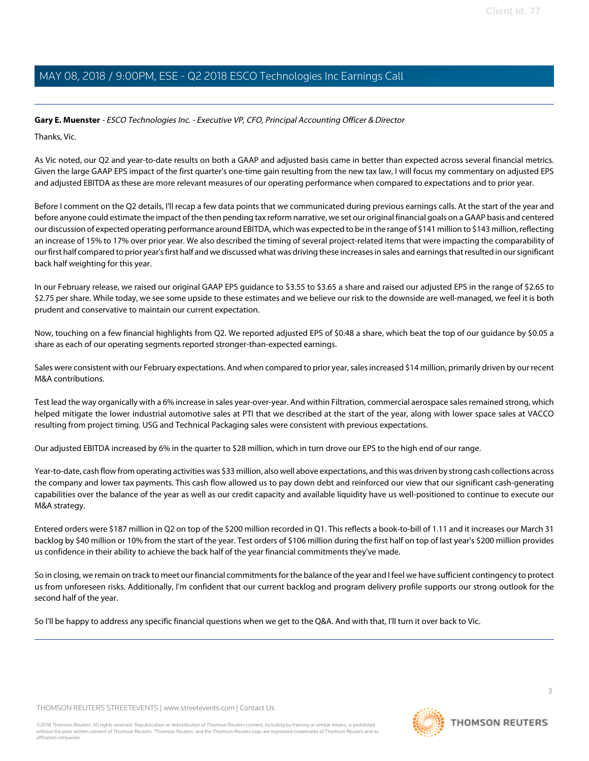#### <span id="page-2-0"></span>**Gary E. Muenster** - ESCO Technologies Inc. - Executive VP, CFO, Principal Accounting Officer & Director

Thanks, Vic.

As Vic noted, our Q2 and year-to-date results on both a GAAP and adjusted basis came in better than expected across several financial metrics. Given the large GAAP EPS impact of the first quarter's one-time gain resulting from the new tax law, I will focus my commentary on adjusted EPS and adjusted EBITDA as these are more relevant measures of our operating performance when compared to expectations and to prior year.

Before I comment on the Q2 details, I'll recap a few data points that we communicated during previous earnings calls. At the start of the year and before anyone could estimate the impact of the then pending tax reform narrative, we set our original financial goals on a GAAP basis and centered our discussion of expected operating performance around EBITDA, which was expected to be in the range of \$141 million to \$143 million, reflecting an increase of 15% to 17% over prior year. We also described the timing of several project-related items that were impacting the comparability of our first half compared to prior year's first half and we discussed what was driving these increases in sales and earnings that resulted in our significant back half weighting for this year.

In our February release, we raised our original GAAP EPS guidance to \$3.55 to \$3.65 a share and raised our adjusted EPS in the range of \$2.65 to \$2.75 per share. While today, we see some upside to these estimates and we believe our risk to the downside are well-managed, we feel it is both prudent and conservative to maintain our current expectation.

Now, touching on a few financial highlights from Q2. We reported adjusted EPS of \$0.48 a share, which beat the top of our guidance by \$0.05 a share as each of our operating segments reported stronger-than-expected earnings.

Sales were consistent with our February expectations. And when compared to prior year, sales increased \$14 million, primarily driven by our recent M&A contributions.

Test lead the way organically with a 6% increase in sales year-over-year. And within Filtration, commercial aerospace sales remained strong, which helped mitigate the lower industrial automotive sales at PTI that we described at the start of the year, along with lower space sales at VACCO resulting from project timing. USG and Technical Packaging sales were consistent with previous expectations.

Our adjusted EBITDA increased by 6% in the quarter to \$28 million, which in turn drove our EPS to the high end of our range.

Year-to-date, cash flow from operating activities was \$33 million, also well above expectations, and this was driven by strong cash collections across the company and lower tax payments. This cash flow allowed us to pay down debt and reinforced our view that our significant cash-generating capabilities over the balance of the year as well as our credit capacity and available liquidity have us well-positioned to continue to execute our M&A strategy.

Entered orders were \$187 million in Q2 on top of the \$200 million recorded in Q1. This reflects a book-to-bill of 1.11 and it increases our March 31 backlog by \$40 million or 10% from the start of the year. Test orders of \$106 million during the first half on top of last year's \$200 million provides us confidence in their ability to achieve the back half of the year financial commitments they've made.

So in closing, we remain on track to meet our financial commitments for the balance of the year and I feel we have sufficient contingency to protect us from unforeseen risks. Additionally, I'm confident that our current backlog and program delivery profile supports our strong outlook for the second half of the year.

So I'll be happy to address any specific financial questions when we get to the Q&A. And with that, I'll turn it over back to Vic.

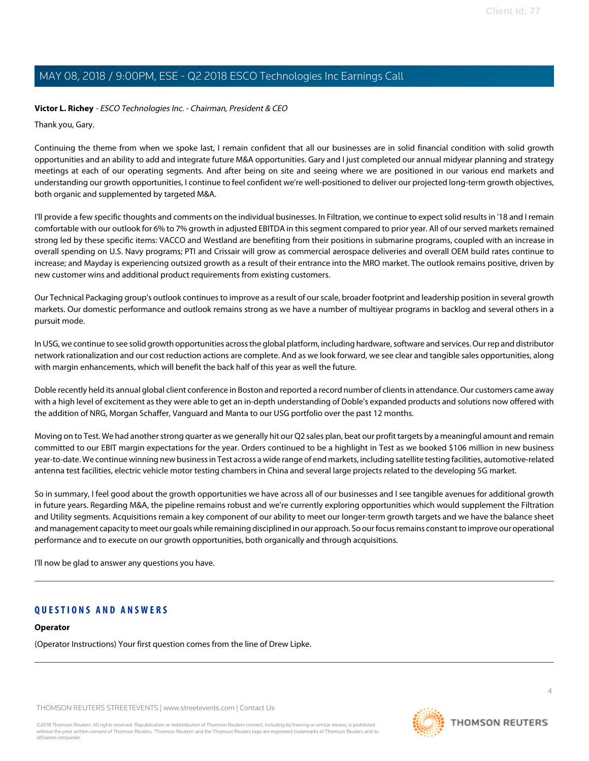#### **Victor L. Richey** - ESCO Technologies Inc. - Chairman, President & CEO

Thank you, Gary.

Continuing the theme from when we spoke last, I remain confident that all our businesses are in solid financial condition with solid growth opportunities and an ability to add and integrate future M&A opportunities. Gary and I just completed our annual midyear planning and strategy meetings at each of our operating segments. And after being on site and seeing where we are positioned in our various end markets and understanding our growth opportunities, I continue to feel confident we're well-positioned to deliver our projected long-term growth objectives, both organic and supplemented by targeted M&A.

I'll provide a few specific thoughts and comments on the individual businesses. In Filtration, we continue to expect solid results in '18 and I remain comfortable with our outlook for 6% to 7% growth in adjusted EBITDA in this segment compared to prior year. All of our served markets remained strong led by these specific items: VACCO and Westland are benefiting from their positions in submarine programs, coupled with an increase in overall spending on U.S. Navy programs; PTI and Crissair will grow as commercial aerospace deliveries and overall OEM build rates continue to increase; and Mayday is experiencing outsized growth as a result of their entrance into the MRO market. The outlook remains positive, driven by new customer wins and additional product requirements from existing customers.

Our Technical Packaging group's outlook continues to improve as a result of our scale, broader footprint and leadership position in several growth markets. Our domestic performance and outlook remains strong as we have a number of multiyear programs in backlog and several others in a pursuit mode.

In USG, we continue to see solid growth opportunities across the global platform, including hardware, software and services. Our rep and distributor network rationalization and our cost reduction actions are complete. And as we look forward, we see clear and tangible sales opportunities, along with margin enhancements, which will benefit the back half of this year as well the future.

Doble recently held its annual global client conference in Boston and reported a record number of clients in attendance. Our customers came away with a high level of excitement as they were able to get an in-depth understanding of Doble's expanded products and solutions now offered with the addition of NRG, Morgan Schaffer, Vanguard and Manta to our USG portfolio over the past 12 months.

Moving on to Test. We had another strong quarter as we generally hit our Q2 sales plan, beat our profit targets by a meaningful amount and remain committed to our EBIT margin expectations for the year. Orders continued to be a highlight in Test as we booked \$106 million in new business year-to-date. We continue winning new business in Test across a wide range of end markets, including satellite testing facilities, automotive-related antenna test facilities, electric vehicle motor testing chambers in China and several large projects related to the developing 5G market.

So in summary, I feel good about the growth opportunities we have across all of our businesses and I see tangible avenues for additional growth in future years. Regarding M&A, the pipeline remains robust and we're currently exploring opportunities which would supplement the Filtration and Utility segments. Acquisitions remain a key component of our ability to meet our longer-term growth targets and we have the balance sheet and management capacity to meet our goals while remaining disciplined in our approach. So our focus remains constant to improve our operational performance and to execute on our growth opportunities, both organically and through acquisitions.

I'll now be glad to answer any questions you have.

#### **QUESTIONS AND ANSWERS**

#### **Operator**

(Operator Instructions) Your first question comes from the line of Drew Lipke.

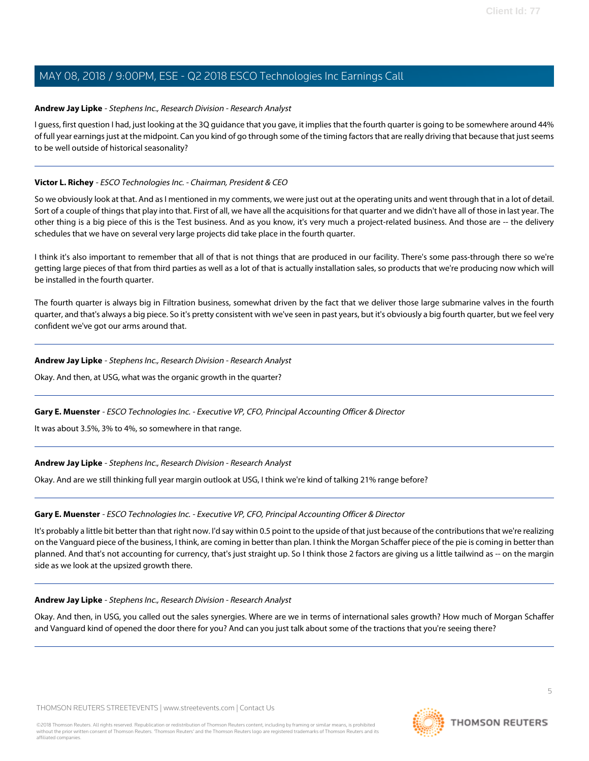#### <span id="page-4-0"></span>**Andrew Jay Lipke** - Stephens Inc., Research Division - Research Analyst

I guess, first question I had, just looking at the 3Q quidance that you gave, it implies that the fourth quarter is going to be somewhere around 44% of full year earnings just at the midpoint. Can you kind of go through some of the timing factors that are really driving that because that just seems to be well outside of historical seasonality?

#### **Victor L. Richey** - ESCO Technologies Inc. - Chairman, President & CEO

So we obviously look at that. And as I mentioned in my comments, we were just out at the operating units and went through that in a lot of detail. Sort of a couple of things that play into that. First of all, we have all the acquisitions for that quarter and we didn't have all of those in last year. The other thing is a big piece of this is the Test business. And as you know, it's very much a project-related business. And those are -- the delivery schedules that we have on several very large projects did take place in the fourth quarter.

I think it's also important to remember that all of that is not things that are produced in our facility. There's some pass-through there so we're getting large pieces of that from third parties as well as a lot of that is actually installation sales, so products that we're producing now which will be installed in the fourth quarter.

The fourth quarter is always big in Filtration business, somewhat driven by the fact that we deliver those large submarine valves in the fourth quarter, and that's always a big piece. So it's pretty consistent with we've seen in past years, but it's obviously a big fourth quarter, but we feel very confident we've got our arms around that.

#### **Andrew Jay Lipke** - Stephens Inc., Research Division - Research Analyst

Okay. And then, at USG, what was the organic growth in the quarter?

#### **Gary E. Muenster** - ESCO Technologies Inc. - Executive VP, CFO, Principal Accounting Officer & Director

It was about 3.5%, 3% to 4%, so somewhere in that range.

#### **Andrew Jay Lipke** - Stephens Inc., Research Division - Research Analyst

Okay. And are we still thinking full year margin outlook at USG, I think we're kind of talking 21% range before?

#### **Gary E. Muenster** - ESCO Technologies Inc. - Executive VP, CFO, Principal Accounting Officer & Director

It's probably a little bit better than that right now. I'd say within 0.5 point to the upside of that just because of the contributions that we're realizing on the Vanguard piece of the business, I think, are coming in better than plan. I think the Morgan Schaffer piece of the pie is coming in better than planned. And that's not accounting for currency, that's just straight up. So I think those 2 factors are giving us a little tailwind as -- on the margin side as we look at the upsized growth there.

#### **Andrew Jay Lipke** - Stephens Inc., Research Division - Research Analyst

Okay. And then, in USG, you called out the sales synergies. Where are we in terms of international sales growth? How much of Morgan Schaffer and Vanguard kind of opened the door there for you? And can you just talk about some of the tractions that you're seeing there?

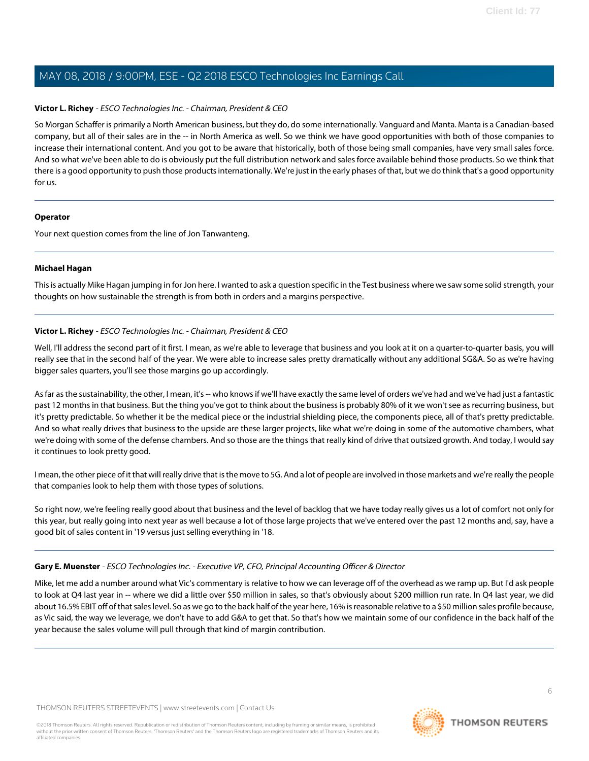#### **Victor L. Richey** - ESCO Technologies Inc. - Chairman, President & CEO

So Morgan Schaffer is primarily a North American business, but they do, do some internationally. Vanguard and Manta. Manta is a Canadian-based company, but all of their sales are in the -- in North America as well. So we think we have good opportunities with both of those companies to increase their international content. And you got to be aware that historically, both of those being small companies, have very small sales force. And so what we've been able to do is obviously put the full distribution network and sales force available behind those products. So we think that there is a good opportunity to push those products internationally. We're just in the early phases of that, but we do think that's a good opportunity for us.

#### **Operator**

<span id="page-5-0"></span>Your next question comes from the line of Jon Tanwanteng.

#### **Michael Hagan**

This is actually Mike Hagan jumping in for Jon here. I wanted to ask a question specific in the Test business where we saw some solid strength, your thoughts on how sustainable the strength is from both in orders and a margins perspective.

#### **Victor L. Richey** - ESCO Technologies Inc. - Chairman, President & CEO

Well, I'll address the second part of it first. I mean, as we're able to leverage that business and you look at it on a quarter-to-quarter basis, you will really see that in the second half of the year. We were able to increase sales pretty dramatically without any additional SG&A. So as we're having bigger sales quarters, you'll see those margins go up accordingly.

As far as the sustainability, the other, I mean, it's -- who knows if we'll have exactly the same level of orders we've had and we've had just a fantastic past 12 months in that business. But the thing you've got to think about the business is probably 80% of it we won't see as recurring business, but it's pretty predictable. So whether it be the medical piece or the industrial shielding piece, the components piece, all of that's pretty predictable. And so what really drives that business to the upside are these larger projects, like what we're doing in some of the automotive chambers, what we're doing with some of the defense chambers. And so those are the things that really kind of drive that outsized growth. And today, I would say it continues to look pretty good.

I mean, the other piece of it that will really drive that is the move to 5G. And a lot of people are involved in those markets and we're really the people that companies look to help them with those types of solutions.

So right now, we're feeling really good about that business and the level of backlog that we have today really gives us a lot of comfort not only for this year, but really going into next year as well because a lot of those large projects that we've entered over the past 12 months and, say, have a good bit of sales content in '19 versus just selling everything in '18.

#### **Gary E. Muenster** - ESCO Technologies Inc. - Executive VP, CFO, Principal Accounting Officer & Director

Mike, let me add a number around what Vic's commentary is relative to how we can leverage off of the overhead as we ramp up. But I'd ask people to look at Q4 last year in -- where we did a little over \$50 million in sales, so that's obviously about \$200 million run rate. In Q4 last year, we did about 16.5% EBIT off of that sales level. So as we go to the back half of the year here, 16% is reasonable relative to a \$50 million sales profile because, as Vic said, the way we leverage, we don't have to add G&A to get that. So that's how we maintain some of our confidence in the back half of the year because the sales volume will pull through that kind of margin contribution.

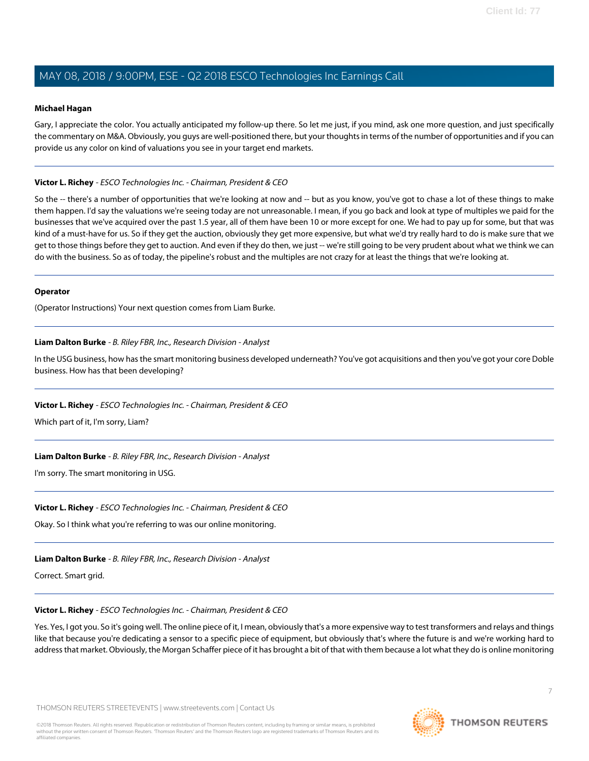#### **Michael Hagan**

Gary, I appreciate the color. You actually anticipated my follow-up there. So let me just, if you mind, ask one more question, and just specifically the commentary on M&A. Obviously, you guys are well-positioned there, but your thoughts in terms of the number of opportunities and if you can provide us any color on kind of valuations you see in your target end markets.

#### **Victor L. Richey** - ESCO Technologies Inc. - Chairman, President & CEO

So the -- there's a number of opportunities that we're looking at now and -- but as you know, you've got to chase a lot of these things to make them happen. I'd say the valuations we're seeing today are not unreasonable. I mean, if you go back and look at type of multiples we paid for the businesses that we've acquired over the past 1.5 year, all of them have been 10 or more except for one. We had to pay up for some, but that was kind of a must-have for us. So if they get the auction, obviously they get more expensive, but what we'd try really hard to do is make sure that we get to those things before they get to auction. And even if they do then, we just -- we're still going to be very prudent about what we think we can do with the business. So as of today, the pipeline's robust and the multiples are not crazy for at least the things that we're looking at.

#### **Operator**

<span id="page-6-0"></span>(Operator Instructions) Your next question comes from Liam Burke.

#### **Liam Dalton Burke** - B. Riley FBR, Inc., Research Division - Analyst

In the USG business, how has the smart monitoring business developed underneath? You've got acquisitions and then you've got your core Doble business. How has that been developing?

#### **Victor L. Richey** - ESCO Technologies Inc. - Chairman, President & CEO

Which part of it, I'm sorry, Liam?

#### **Liam Dalton Burke** - B. Riley FBR, Inc., Research Division - Analyst

I'm sorry. The smart monitoring in USG.

#### **Victor L. Richey** - ESCO Technologies Inc. - Chairman, President & CEO

Okay. So I think what you're referring to was our online monitoring.

## **Liam Dalton Burke** - B. Riley FBR, Inc., Research Division - Analyst

Correct. Smart grid.

## **Victor L. Richey** - ESCO Technologies Inc. - Chairman, President & CEO

Yes. Yes, I got you. So it's going well. The online piece of it, I mean, obviously that's a more expensive way to test transformers and relays and things like that because you're dedicating a sensor to a specific piece of equipment, but obviously that's where the future is and we're working hard to address that market. Obviously, the Morgan Schaffer piece of it has brought a bit of that with them because a lot what they do is online monitoring

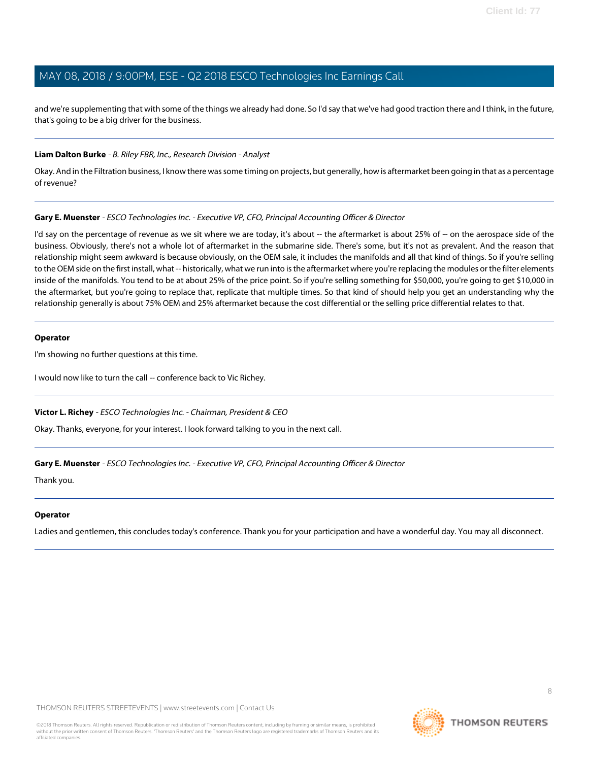and we're supplementing that with some of the things we already had done. So I'd say that we've had good traction there and I think, in the future, that's going to be a big driver for the business.

#### **Liam Dalton Burke** - B. Riley FBR, Inc., Research Division - Analyst

Okay. And in the Filtration business, I know there was some timing on projects, but generally, how is aftermarket been going in that as a percentage of revenue?

#### **Gary E. Muenster** - ESCO Technologies Inc. - Executive VP, CFO, Principal Accounting Officer & Director

I'd say on the percentage of revenue as we sit where we are today, it's about -- the aftermarket is about 25% of -- on the aerospace side of the business. Obviously, there's not a whole lot of aftermarket in the submarine side. There's some, but it's not as prevalent. And the reason that relationship might seem awkward is because obviously, on the OEM sale, it includes the manifolds and all that kind of things. So if you're selling to the OEM side on the first install, what -- historically, what we run into is the aftermarket where you're replacing the modules or the filter elements inside of the manifolds. You tend to be at about 25% of the price point. So if you're selling something for \$50,000, you're going to get \$10,000 in the aftermarket, but you're going to replace that, replicate that multiple times. So that kind of should help you get an understanding why the relationship generally is about 75% OEM and 25% aftermarket because the cost differential or the selling price differential relates to that.

#### **Operator**

I'm showing no further questions at this time.

I would now like to turn the call -- conference back to Vic Richey.

#### **Victor L. Richey** - ESCO Technologies Inc. - Chairman, President & CEO

Okay. Thanks, everyone, for your interest. I look forward talking to you in the next call.

#### **Gary E. Muenster** - ESCO Technologies Inc. - Executive VP, CFO, Principal Accounting Officer & Director

Thank you.

#### **Operator**

Ladies and gentlemen, this concludes today's conference. Thank you for your participation and have a wonderful day. You may all disconnect.